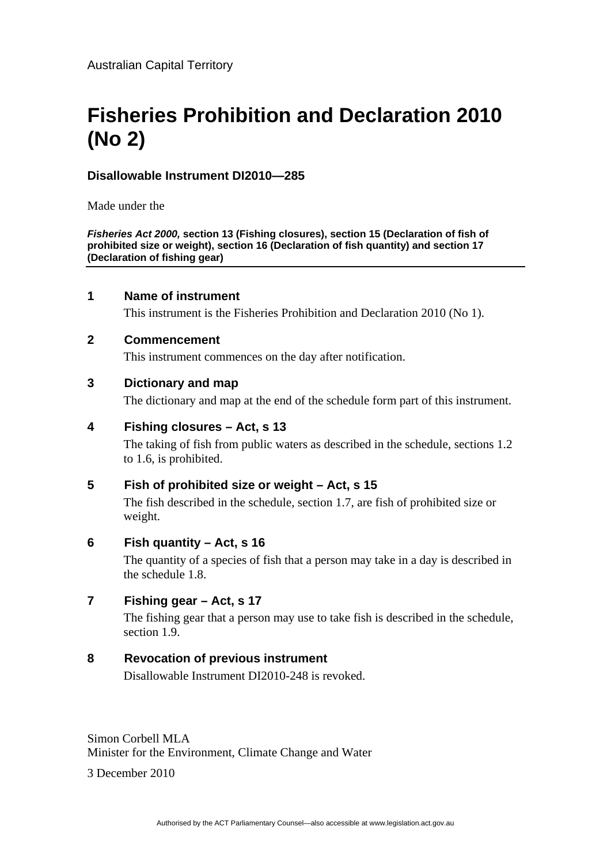# **Fisheries Prohibition and Declaration 2010 (No 2)**

## **Disallowable Instrument DI2010—285**

Made under the

*Fisheries Act 2000,* **section 13 (Fishing closures), section 15 (Declaration of fish of prohibited size or weight), section 16 (Declaration of fish quantity) and section 17 (Declaration of fishing gear)**

#### **1 Name of instrument**

This instrument is the Fisheries Prohibition and Declaration 2010 (No 1).

#### **2 Commencement**

This instrument commences on the day after notification.

#### **3 Dictionary and map**

The dictionary and map at the end of the schedule form part of this instrument.

#### **4 Fishing closures – Act, s 13**

The taking of fish from public waters as described in the schedule, sections 1.2 to 1.6, is prohibited.

#### **5 Fish of prohibited size or weight – Act, s 15**

The fish described in the schedule, section 1.7, are fish of prohibited size or weight.

#### **6 Fish quantity – Act, s 16**

The quantity of a species of fish that a person may take in a day is described in the schedule 1.8.

### **7 Fishing gear – Act, s 17**

The fishing gear that a person may use to take fish is described in the schedule, section 1.9.

### **8 Revocation of previous instrument**

Disallowable Instrument DI2010-248 is revoked.

Simon Corbell MLA Minister for the Environment, Climate Change and Water

3 December 2010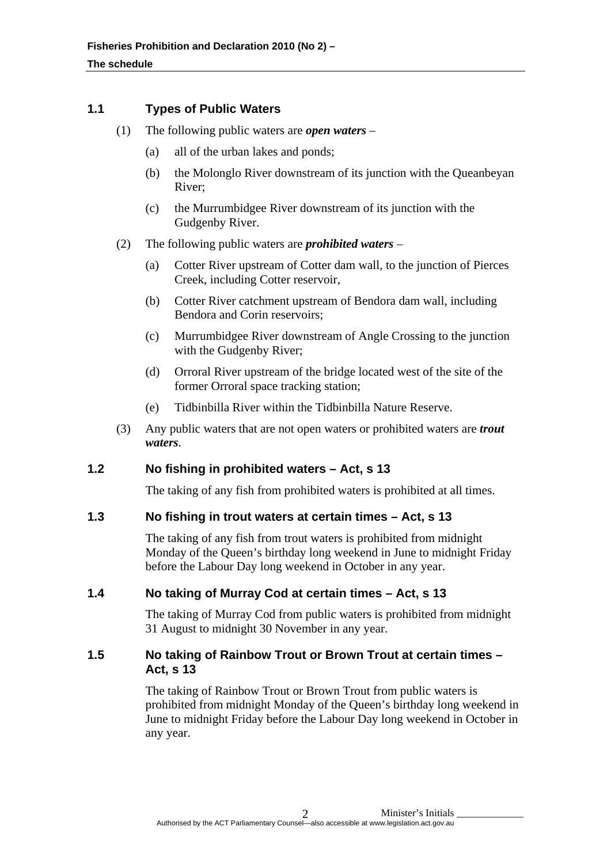# **1.1 Types of Public Waters**

- (1) The following public waters are *open waters*
	- (a) all of the urban lakes and ponds;
	- (b) the Molonglo River downstream of its junction with the Queanbeyan River;
	- (c) the Murrumbidgee River downstream of its junction with the Gudgenby River.
- (2) The following public waters are *prohibited waters*
	- (a) Cotter River upstream of Cotter dam wall, to the junction of Pierces Creek, including Cotter reservoir,
	- (b) Cotter River catchment upstream of Bendora dam wall, including Bendora and Corin reservoirs;
	- (c) Murrumbidgee River downstream of Angle Crossing to the junction with the Gudgenby River;
	- (d) Orroral River upstream of the bridge located west of the site of the former Orroral space tracking station;
	- (e) Tidbinbilla River within the Tidbinbilla Nature Reserve.
- (3) Any public waters that are not open waters or prohibited waters are *trout waters*.

# **1.2 No fishing in prohibited waters – Act, s 13**

The taking of any fish from prohibited waters is prohibited at all times.

### **1.3 No fishing in trout waters at certain times – Act, s 13**

The taking of any fish from trout waters is prohibited from midnight Monday of the Queen's birthday long weekend in June to midnight Friday before the Labour Day long weekend in October in any year.

# **1.4 No taking of Murray Cod at certain times – Act, s 13**

The taking of Murray Cod from public waters is prohibited from midnight 31 August to midnight 30 November in any year.

### **1.5 No taking of Rainbow Trout or Brown Trout at certain times – Act, s 13**

The taking of Rainbow Trout or Brown Trout from public waters is prohibited from midnight Monday of the Queen's birthday long weekend in June to midnight Friday before the Labour Day long weekend in October in any year.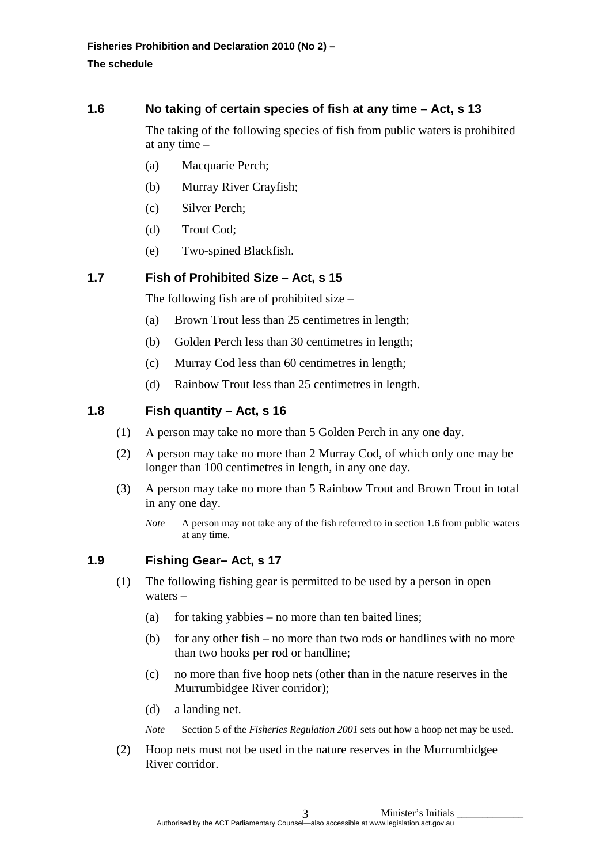# **1.6 No taking of certain species of fish at any time – Act, s 13**

The taking of the following species of fish from public waters is prohibited at any time –

- (a) Macquarie Perch;
- (b) Murray River Crayfish;
- (c) Silver Perch;
- (d) Trout Cod;
- (e) Two-spined Blackfish.

# **1.7 Fish of Prohibited Size – Act, s 15**

The following fish are of prohibited size –

- (a) Brown Trout less than 25 centimetres in length;
- (b) Golden Perch less than 30 centimetres in length;
- (c) Murray Cod less than 60 centimetres in length;
- (d) Rainbow Trout less than 25 centimetres in length.

### **1.8 Fish quantity – Act, s 16**

- (1) A person may take no more than 5 Golden Perch in any one day.
- (2) A person may take no more than 2 Murray Cod, of which only one may be longer than 100 centimetres in length, in any one day.
- (3) A person may take no more than 5 Rainbow Trout and Brown Trout in total in any one day.

### **1.9 Fishing Gear– Act, s 17**

- (1) The following fishing gear is permitted to be used by a person in open waters –
	- (a) for taking yabbies no more than ten baited lines;
	- (b) for any other fish no more than two rods or handlines with no more than two hooks per rod or handline;
	- (c) no more than five hoop nets (other than in the nature reserves in the Murrumbidgee River corridor);
	- (d) a landing net.

*Note* Section 5 of the *Fisheries Regulation 2001* sets out how a hoop net may be used.

(2) Hoop nets must not be used in the nature reserves in the Murrumbidgee River corridor.

*Note* A person may not take any of the fish referred to in section 1.6 from public waters at any time.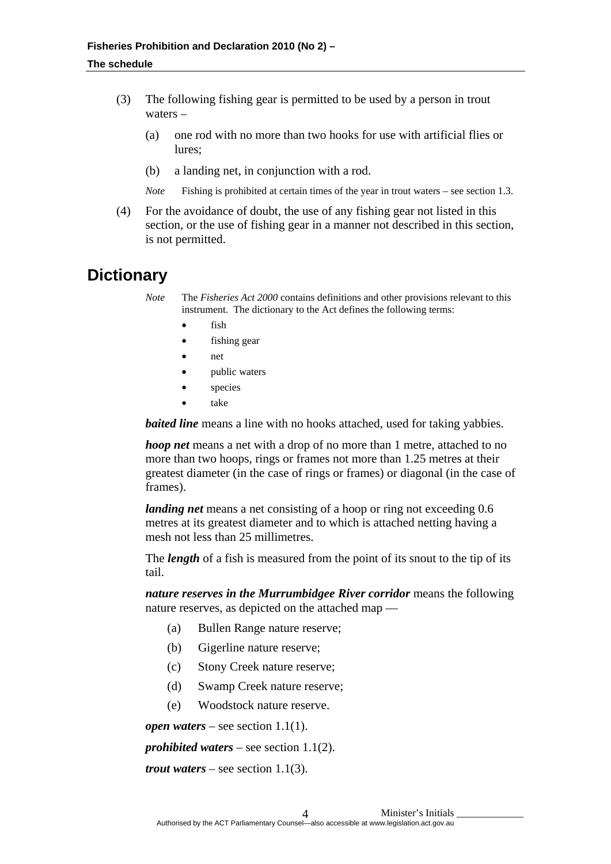- (3) The following fishing gear is permitted to be used by a person in trout waters –
	- (a) one rod with no more than two hooks for use with artificial flies or lures;
	- (b) a landing net, in conjunction with a rod.
	- *Note* Fishing is prohibited at certain times of the year in trout waters see section 1.3.
- (4) For the avoidance of doubt, the use of any fishing gear not listed in this section, or the use of fishing gear in a manner not described in this section, is not permitted.

# **Dictionary**

*Note* The *Fisheries Act 2000* contains definitions and other provisions relevant to this instrument. The dictionary to the Act defines the following terms:

- fish
- fishing gear
	- net
- public waters
- species
- take

*baited line* means a line with no hooks attached, used for taking yabbies.

*hoop net* means a net with a drop of no more than 1 metre, attached to no more than two hoops, rings or frames not more than 1.25 metres at their greatest diameter (in the case of rings or frames) or diagonal (in the case of frames).

*landing net* means a net consisting of a hoop or ring not exceeding 0.6 metres at its greatest diameter and to which is attached netting having a mesh not less than 25 millimetres.

The *length* of a fish is measured from the point of its snout to the tip of its tail.

*nature reserves in the Murrumbidgee River corridor* means the following nature reserves, as depicted on the attached map —

- (a) Bullen Range nature reserve;
- (b) Gigerline nature reserve;
- (c) Stony Creek nature reserve;
- (d) Swamp Creek nature reserve;
- (e) Woodstock nature reserve.

*open waters* – see section 1.1(1).

*prohibited waters* – see section 1.1(2).

*trout waters* – see section 1.1(3).